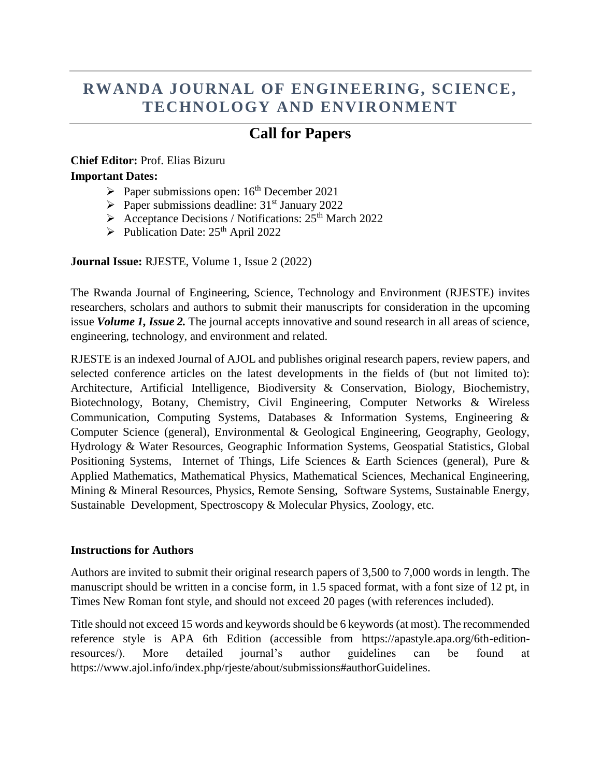# **RWANDA JOURNAL OF ENGINEERING, SCIENCE, TECHNOLOGY AND ENVIRONMENT**

## **Call for Papers**

### **Chief Editor:** Prof. Elias Bizuru **Important Dates:**

- Paper submissions open:  $16<sup>th</sup>$  December 2021
- $\triangleright$  Paper submissions deadline: 31<sup>st</sup> January 2022
- $\triangleright$  Acceptance Decisions / Notifications: 25<sup>th</sup> March 2022
- $\triangleright$  Publication Date: 25<sup>th</sup> April 2022

**Journal Issue:** RJESTE, Volume 1, Issue 2 (2022)

The Rwanda Journal of Engineering, Science, Technology and Environment (RJESTE) invites researchers, scholars and authors to submit their manuscripts for consideration in the upcoming issue *Volume 1, Issue 2.* The journal accepts innovative and sound research in all areas of science, engineering, technology, and environment and related.

RJESTE is an indexed Journal of AJOL and publishes original research papers, review papers, and selected conference articles on the latest developments in the fields of (but not limited to): Architecture, Artificial Intelligence, Biodiversity & Conservation, Biology, Biochemistry, Biotechnology, Botany, Chemistry, Civil Engineering, Computer Networks & Wireless Communication, Computing Systems, Databases & Information Systems, Engineering & Computer Science (general), Environmental & Geological Engineering, Geography, Geology, Hydrology & Water Resources, Geographic Information Systems, Geospatial Statistics, Global Positioning Systems, Internet of Things, Life Sciences & Earth Sciences (general), Pure & Applied Mathematics, Mathematical Physics, Mathematical Sciences, Mechanical Engineering, Mining & Mineral Resources, Physics, Remote Sensing, Software Systems, Sustainable Energy, Sustainable Development, Spectroscopy & Molecular Physics, Zoology, etc.

#### **Instructions for Authors**

Authors are invited to submit their original research papers of 3,500 to 7,000 words in length. The manuscript should be written in a concise form, in 1.5 spaced format, with a font size of 12 pt, in Times New Roman font style, and should not exceed 20 pages (with references included).

Title should not exceed 15 words and keywords should be 6 keywords (at most). The recommended reference style is APA 6th Edition (accessible from https://apastyle.apa.org/6th-editionresources/). More detailed journal's author guidelines can be found at https://www.ajol.info/index.php/rjeste/about/submissions#authorGuidelines.